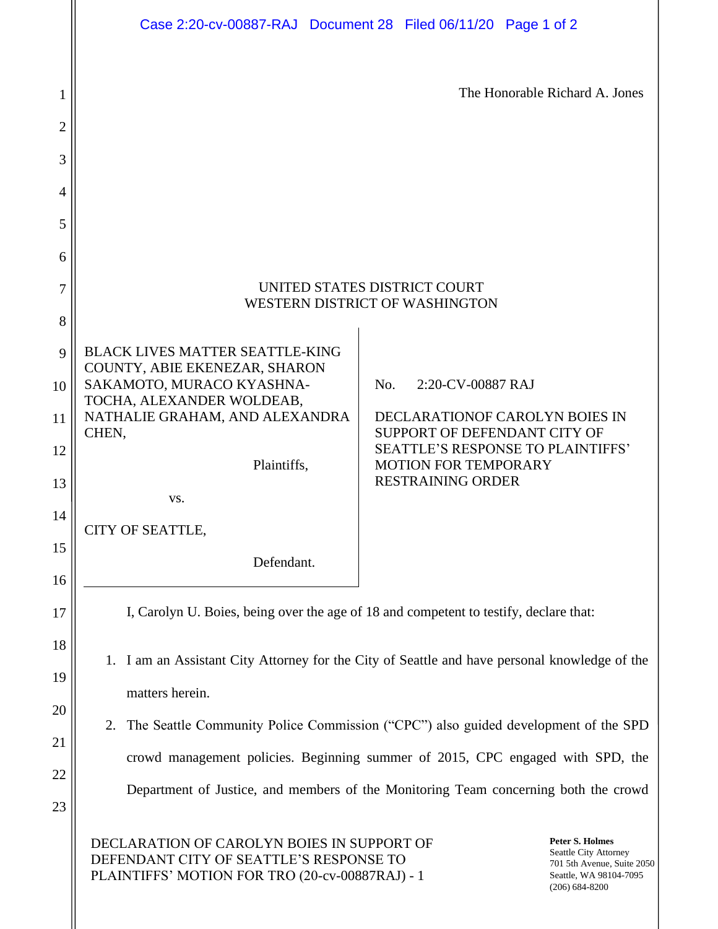|                     | Case 2:20-cv-00887-RAJ Document 28 Filed 06/11/20 Page 1 of 2                                                                                                                             |                                                                                                                               |
|---------------------|-------------------------------------------------------------------------------------------------------------------------------------------------------------------------------------------|-------------------------------------------------------------------------------------------------------------------------------|
| 1<br>$\overline{c}$ |                                                                                                                                                                                           | The Honorable Richard A. Jones                                                                                                |
| 3                   |                                                                                                                                                                                           |                                                                                                                               |
| 4                   |                                                                                                                                                                                           |                                                                                                                               |
| 5                   |                                                                                                                                                                                           |                                                                                                                               |
| 6                   |                                                                                                                                                                                           |                                                                                                                               |
| 7                   | UNITED STATES DISTRICT COURT<br>WESTERN DISTRICT OF WASHINGTON                                                                                                                            |                                                                                                                               |
| 8                   |                                                                                                                                                                                           |                                                                                                                               |
| 9<br>10             | <b>BLACK LIVES MATTER SEATTLE-KING</b><br>COUNTY, ABIE EKENEZAR, SHARON<br>SAKAMOTO, MURACO KYASHNA-<br>No.<br>2:20-CV-00887 RAJ<br>TOCHA, ALEXANDER WOLDEAB,                             |                                                                                                                               |
| 11                  | NATHALIE GRAHAM, AND ALEXANDRA<br>DECLARATIONOF CAROLYN BOIES IN<br>CHEN,<br>SUPPORT OF DEFENDANT CITY OF<br><b>SEATTLE'S RESPONSE TO PLAINTIFFS'</b>                                     |                                                                                                                               |
| 12<br>13            | Plaintiffs,<br><b>MOTION FOR TEMPORARY</b><br><b>RESTRAINING ORDER</b>                                                                                                                    |                                                                                                                               |
| 14                  | VS.<br>CITY OF SEATTLE,                                                                                                                                                                   |                                                                                                                               |
| 15<br>16            | Defendant.                                                                                                                                                                                |                                                                                                                               |
| 17                  | I, Carolyn U. Boies, being over the age of 18 and competent to testify, declare that:<br>I am an Assistant City Attorney for the City of Seattle and have personal knowledge of the<br>1. |                                                                                                                               |
| 18<br>19            |                                                                                                                                                                                           |                                                                                                                               |
| 20                  | matters herein.                                                                                                                                                                           |                                                                                                                               |
| 21                  | The Seattle Community Police Commission ("CPC") also guided development of the SPD<br>2.                                                                                                  |                                                                                                                               |
| 22                  | crowd management policies. Beginning summer of 2015, CPC engaged with SPD, the                                                                                                            |                                                                                                                               |
| 23                  | Department of Justice, and members of the Monitoring Team concerning both the crowd                                                                                                       |                                                                                                                               |
|                     | DECLARATION OF CAROLYN BOIES IN SUPPORT OF<br>DEFENDANT CITY OF SEATTLE'S RESPONSE TO<br>PLAINTIFFS' MOTION FOR TRO (20-cv-00887RAJ) - 1                                                  | <b>Peter S. Holmes</b><br>Seattle City Attorney<br>701 5th Avenue, Suite 2050<br>Seattle, WA 98104-7095<br>$(206) 684 - 8200$ |